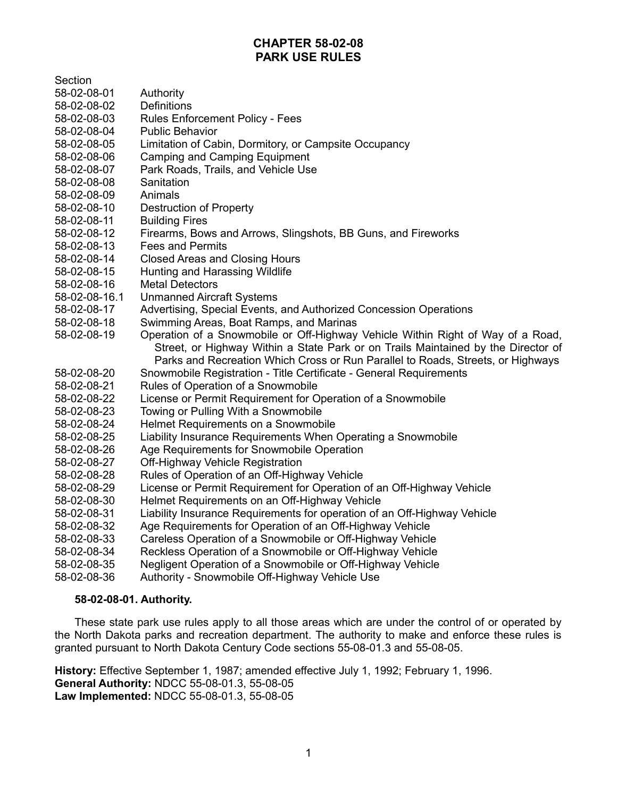# **CHAPTER 58-02-08 PARK USE RULES**

Section

- 58-02-08-01 Authority
- 58-02-08-02 Definitions
- 58-02-08-03 Rules Enforcement Policy Fees
- 58-02-08-04 Public Behavior
- 58-02-08-05 Limitation of Cabin, Dormitory, or Campsite Occupancy
- 58-02-08-06 Camping and Camping Equipment
- 58-02-08-07 Park Roads, Trails, and Vehicle Use
- 58-02-08-08 Sanitation
- 58-02-08-09 Animals
- 58-02-08-10 Destruction of Property
- 58-02-08-11 Building Fires
- 58-02-08-12 Firearms, Bows and Arrows, Slingshots, BB Guns, and Fireworks
- 58-02-08-13 Fees and Permits
- 58-02-08-14 Closed Areas and Closing Hours
- 58-02-08-15 Hunting and Harassing Wildlife
- 58-02-08-16 Metal Detectors
- 58-02-08-16.1 Unmanned Aircraft Systems
- 58-02-08-17 Advertising, Special Events, and Authorized Concession Operations
- 58-02-08-18 Swimming Areas, Boat Ramps, and Marinas
- 58-02-08-19 Operation of a Snowmobile or Off-Highway Vehicle Within Right of Way of a Road, Street, or Highway Within a State Park or on Trails Maintained by the Director of Parks and Recreation Which Cross or Run Parallel to Roads, Streets, or Highways
- 58-02-08-20 Snowmobile Registration Title Certificate General Requirements
- 58-02-08-21 Rules of Operation of a Snowmobile
- 58-02-08-22 License or Permit Requirement for Operation of a Snowmobile
- 58-02-08-23 Towing or Pulling With a Snowmobile
- 58-02-08-24 Helmet Requirements on a Snowmobile
- 58-02-08-25 Liability Insurance Requirements When Operating a Snowmobile
- 58-02-08-26 Age Requirements for Snowmobile Operation
- 58-02-08-27 Off-Highway Vehicle Registration
- 58-02-08-28 Rules of Operation of an Off-Highway Vehicle
- 58-02-08-29 License or Permit Requirement for Operation of an Off-Highway Vehicle
- 58-02-08-30 Helmet Requirements on an Off-Highway Vehicle
- 58-02-08-31 Liability Insurance Requirements for operation of an Off-Highway Vehicle
- 58-02-08-32 Age Requirements for Operation of an Off-Highway Vehicle
- 58-02-08-33 Careless Operation of a Snowmobile or Off-Highway Vehicle
- 58-02-08-34 Reckless Operation of a Snowmobile or Off-Highway Vehicle
- 58-02-08-35 Negligent Operation of a Snowmobile or Off-Highway Vehicle
- 58-02-08-36 Authority Snowmobile Off-Highway Vehicle Use

#### **58-02-08-01. Authority.**

These state park use rules apply to all those areas which are under the control of or operated by the North Dakota parks and recreation department. The authority to make and enforce these rules is granted pursuant to North Dakota Century Code sections 55-08-01.3 and 55-08-05.

**History:** Effective September 1, 1987; amended effective July 1, 1992; February 1, 1996. **General Authority:** NDCC 55-08-01.3, 55-08-05 **Law Implemented:** NDCC 55-08-01.3, 55-08-05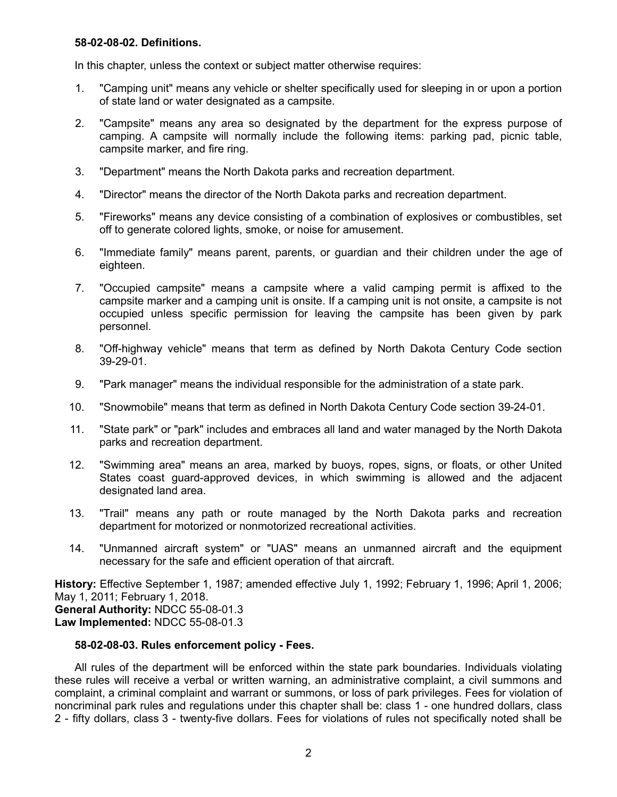#### **58-02-08-02. Definitions.**

In this chapter, unless the context or subject matter otherwise requires:

- 1. "Camping unit" means any vehicle or shelter specifically used for sleeping in or upon a portion of state land or water designated as a campsite.
- 2. "Campsite" means any area so designated by the department for the express purpose of camping. A campsite will normally include the following items: parking pad, picnic table, campsite marker, and fire ring.
- 3. "Department" means the North Dakota parks and recreation department.
- 4. "Director" means the director of the North Dakota parks and recreation department.
- 5. "Fireworks" means any device consisting of a combination of explosives or combustibles, set off to generate colored lights, smoke, or noise for amusement.
- 6. "Immediate family" means parent, parents, or guardian and their children under the age of eighteen.
- 7. "Occupied campsite" means a campsite where a valid camping permit is affixed to the campsite marker and a camping unit is onsite. If a camping unit is not onsite, a campsite is not occupied unless specific permission for leaving the campsite has been given by park personnel.
- 8. "Off-highway vehicle" means that term as defined by North Dakota Century Code section 39-29-01.
- 9. "Park manager" means the individual responsible for the administration of a state park.
- 10. "Snowmobile" means that term as defined in North Dakota Century Code section 39-24-01.
- 11. "State park" or "park" includes and embraces all land and water managed by the North Dakota parks and recreation department.
- 12. "Swimming area" means an area, marked by buoys, ropes, signs, or floats, or other United States coast guard-approved devices, in which swimming is allowed and the adjacent designated land area.
- 13. "Trail" means any path or route managed by the North Dakota parks and recreation department for motorized or nonmotorized recreational activities.
- 14. "Unmanned aircraft system" or "UAS" means an unmanned aircraft and the equipment necessary for the safe and efficient operation of that aircraft.

**History:** Effective September 1, 1987; amended effective July 1, 1992; February 1, 1996; April 1, 2006; May 1, 2011; February 1, 2018. **General Authority:** NDCC 55-08-01.3 **Law Implemented:** NDCC 55-08-01.3

## **58-02-08-03. Rules enforcement policy - Fees.**

All rules of the department will be enforced within the state park boundaries. Individuals violating these rules will receive a verbal or written warning, an administrative complaint, a civil summons and complaint, a criminal complaint and warrant or summons, or loss of park privileges. Fees for violation of noncriminal park rules and regulations under this chapter shall be: class 1 - one hundred dollars, class 2 - fifty dollars, class 3 - twenty-five dollars. Fees for violations of rules not specifically noted shall be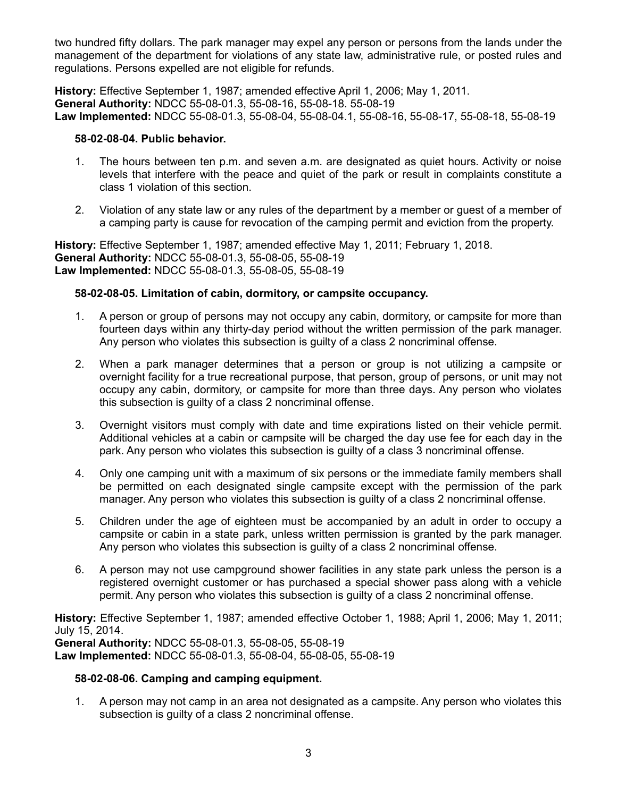two hundred fifty dollars. The park manager may expel any person or persons from the lands under the management of the department for violations of any state law, administrative rule, or posted rules and regulations. Persons expelled are not eligible for refunds.

**History:** Effective September 1, 1987; amended effective April 1, 2006; May 1, 2011. **General Authority:** NDCC 55-08-01.3, 55-08-16, 55-08-18. 55-08-19 **Law Implemented:** NDCC 55-08-01.3, 55-08-04, 55-08-04.1, 55-08-16, 55-08-17, 55-08-18, 55-08-19

### **58-02-08-04. Public behavior.**

- 1. The hours between ten p.m. and seven a.m. are designated as quiet hours. Activity or noise levels that interfere with the peace and quiet of the park or result in complaints constitute a class 1 violation of this section.
- 2. Violation of any state law or any rules of the department by a member or guest of a member of a camping party is cause for revocation of the camping permit and eviction from the property.

**History:** Effective September 1, 1987; amended effective May 1, 2011; February 1, 2018. **General Authority:** NDCC 55-08-01.3, 55-08-05, 55-08-19 **Law Implemented:** NDCC 55-08-01.3, 55-08-05, 55-08-19

## **58-02-08-05. Limitation of cabin, dormitory, or campsite occupancy.**

- 1. A person or group of persons may not occupy any cabin, dormitory, or campsite for more than fourteen days within any thirty-day period without the written permission of the park manager. Any person who violates this subsection is guilty of a class 2 noncriminal offense.
- 2. When a park manager determines that a person or group is not utilizing a campsite or overnight facility for a true recreational purpose, that person, group of persons, or unit may not occupy any cabin, dormitory, or campsite for more than three days. Any person who violates this subsection is guilty of a class 2 noncriminal offense.
- 3. Overnight visitors must comply with date and time expirations listed on their vehicle permit. Additional vehicles at a cabin or campsite will be charged the day use fee for each day in the park. Any person who violates this subsection is guilty of a class 3 noncriminal offense.
- 4. Only one camping unit with a maximum of six persons or the immediate family members shall be permitted on each designated single campsite except with the permission of the park manager. Any person who violates this subsection is guilty of a class 2 noncriminal offense.
- 5. Children under the age of eighteen must be accompanied by an adult in order to occupy a campsite or cabin in a state park, unless written permission is granted by the park manager. Any person who violates this subsection is guilty of a class 2 noncriminal offense.
- 6. A person may not use campground shower facilities in any state park unless the person is a registered overnight customer or has purchased a special shower pass along with a vehicle permit. Any person who violates this subsection is guilty of a class 2 noncriminal offense.

**History:** Effective September 1, 1987; amended effective October 1, 1988; April 1, 2006; May 1, 2011; July 15, 2014.

**General Authority:** NDCC 55-08-01.3, 55-08-05, 55-08-19 **Law Implemented:** NDCC 55-08-01.3, 55-08-04, 55-08-05, 55-08-19

## **58-02-08-06. Camping and camping equipment.**

1. A person may not camp in an area not designated as a campsite. Any person who violates this subsection is guilty of a class 2 noncriminal offense.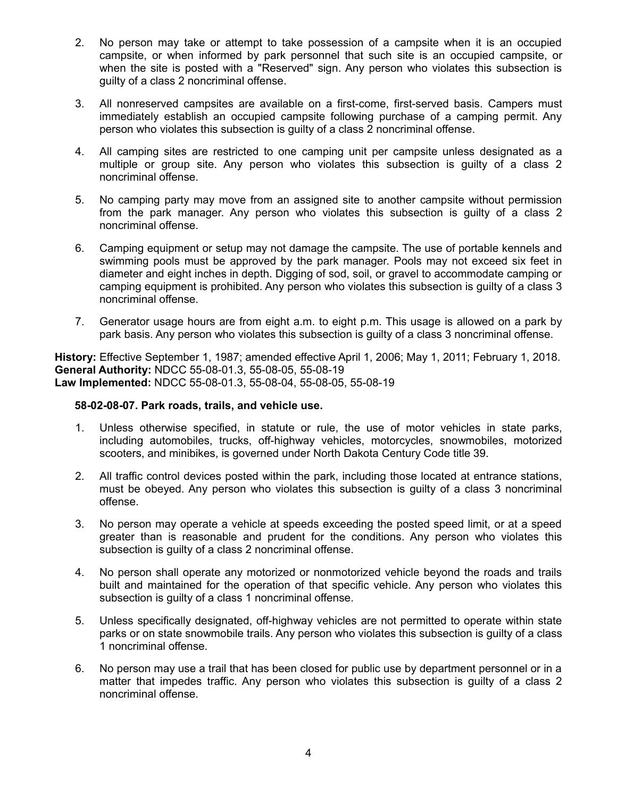- 2. No person may take or attempt to take possession of a campsite when it is an occupied campsite, or when informed by park personnel that such site is an occupied campsite, or when the site is posted with a "Reserved" sign. Any person who violates this subsection is guilty of a class 2 noncriminal offense.
- 3. All nonreserved campsites are available on a first-come, first-served basis. Campers must immediately establish an occupied campsite following purchase of a camping permit. Any person who violates this subsection is guilty of a class 2 noncriminal offense.
- 4. All camping sites are restricted to one camping unit per campsite unless designated as a multiple or group site. Any person who violates this subsection is guilty of a class 2 noncriminal offense.
- 5. No camping party may move from an assigned site to another campsite without permission from the park manager. Any person who violates this subsection is guilty of a class 2 noncriminal offense.
- 6. Camping equipment or setup may not damage the campsite. The use of portable kennels and swimming pools must be approved by the park manager. Pools may not exceed six feet in diameter and eight inches in depth. Digging of sod, soil, or gravel to accommodate camping or camping equipment is prohibited. Any person who violates this subsection is guilty of a class 3 noncriminal offense.
- 7. Generator usage hours are from eight a.m. to eight p.m. This usage is allowed on a park by park basis. Any person who violates this subsection is guilty of a class 3 noncriminal offense.

**History:** Effective September 1, 1987; amended effective April 1, 2006; May 1, 2011; February 1, 2018. **General Authority:** NDCC 55-08-01.3, 55-08-05, 55-08-19 **Law Implemented:** NDCC 55-08-01.3, 55-08-04, 55-08-05, 55-08-19

#### **58-02-08-07. Park roads, trails, and vehicle use.**

- 1. Unless otherwise specified, in statute or rule, the use of motor vehicles in state parks, including automobiles, trucks, off-highway vehicles, motorcycles, snowmobiles, motorized scooters, and minibikes, is governed under North Dakota Century Code title 39.
- 2. All traffic control devices posted within the park, including those located at entrance stations, must be obeyed. Any person who violates this subsection is guilty of a class 3 noncriminal offense.
- 3. No person may operate a vehicle at speeds exceeding the posted speed limit, or at a speed greater than is reasonable and prudent for the conditions. Any person who violates this subsection is guilty of a class 2 noncriminal offense.
- 4. No person shall operate any motorized or nonmotorized vehicle beyond the roads and trails built and maintained for the operation of that specific vehicle. Any person who violates this subsection is guilty of a class 1 noncriminal offense.
- 5. Unless specifically designated, off-highway vehicles are not permitted to operate within state parks or on state snowmobile trails. Any person who violates this subsection is guilty of a class 1 noncriminal offense.
- 6. No person may use a trail that has been closed for public use by department personnel or in a matter that impedes traffic. Any person who violates this subsection is guilty of a class 2 noncriminal offense.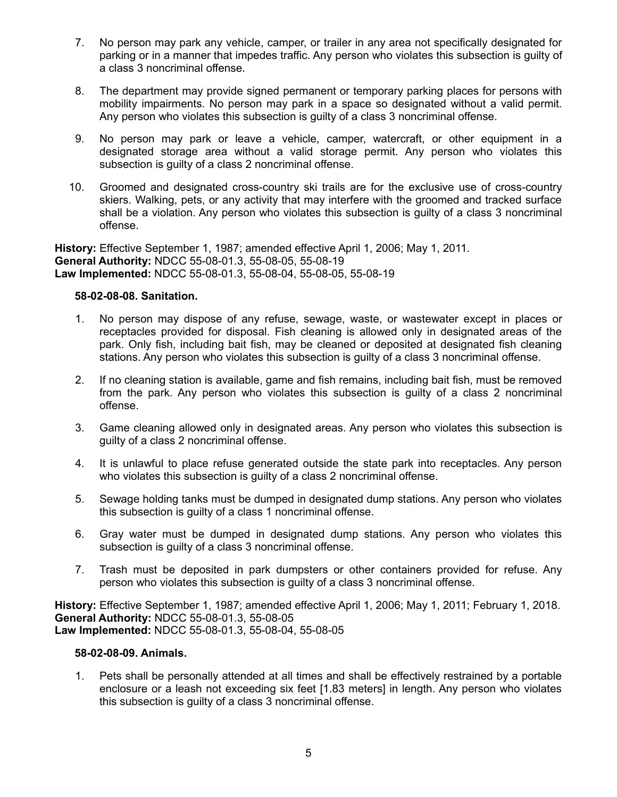- 7. No person may park any vehicle, camper, or trailer in any area not specifically designated for parking or in a manner that impedes traffic. Any person who violates this subsection is guilty of a class 3 noncriminal offense.
- 8. The department may provide signed permanent or temporary parking places for persons with mobility impairments. No person may park in a space so designated without a valid permit. Any person who violates this subsection is guilty of a class 3 noncriminal offense.
- 9. No person may park or leave a vehicle, camper, watercraft, or other equipment in a designated storage area without a valid storage permit. Any person who violates this subsection is guilty of a class 2 noncriminal offense.
- 10. Groomed and designated cross-country ski trails are for the exclusive use of cross-country skiers. Walking, pets, or any activity that may interfere with the groomed and tracked surface shall be a violation. Any person who violates this subsection is guilty of a class 3 noncriminal offense.

**History:** Effective September 1, 1987; amended effective April 1, 2006; May 1, 2011. **General Authority:** NDCC 55-08-01.3, 55-08-05, 55-08-19 **Law Implemented:** NDCC 55-08-01.3, 55-08-04, 55-08-05, 55-08-19

## **58-02-08-08. Sanitation.**

- 1. No person may dispose of any refuse, sewage, waste, or wastewater except in places or receptacles provided for disposal. Fish cleaning is allowed only in designated areas of the park. Only fish, including bait fish, may be cleaned or deposited at designated fish cleaning stations. Any person who violates this subsection is guilty of a class 3 noncriminal offense.
- 2. If no cleaning station is available, game and fish remains, including bait fish, must be removed from the park. Any person who violates this subsection is guilty of a class 2 noncriminal offense.
- 3. Game cleaning allowed only in designated areas. Any person who violates this subsection is guilty of a class 2 noncriminal offense.
- 4. It is unlawful to place refuse generated outside the state park into receptacles. Any person who violates this subsection is guilty of a class 2 noncriminal offense.
- 5. Sewage holding tanks must be dumped in designated dump stations. Any person who violates this subsection is guilty of a class 1 noncriminal offense.
- 6. Gray water must be dumped in designated dump stations. Any person who violates this subsection is guilty of a class 3 noncriminal offense.
- 7. Trash must be deposited in park dumpsters or other containers provided for refuse. Any person who violates this subsection is guilty of a class 3 noncriminal offense.

**History:** Effective September 1, 1987; amended effective April 1, 2006; May 1, 2011; February 1, 2018. **General Authority:** NDCC 55-08-01.3, 55-08-05 **Law Implemented:** NDCC 55-08-01.3, 55-08-04, 55-08-05

#### **58-02-08-09. Animals.**

1. Pets shall be personally attended at all times and shall be effectively restrained by a portable enclosure or a leash not exceeding six feet [1.83 meters] in length. Any person who violates this subsection is guilty of a class 3 noncriminal offense.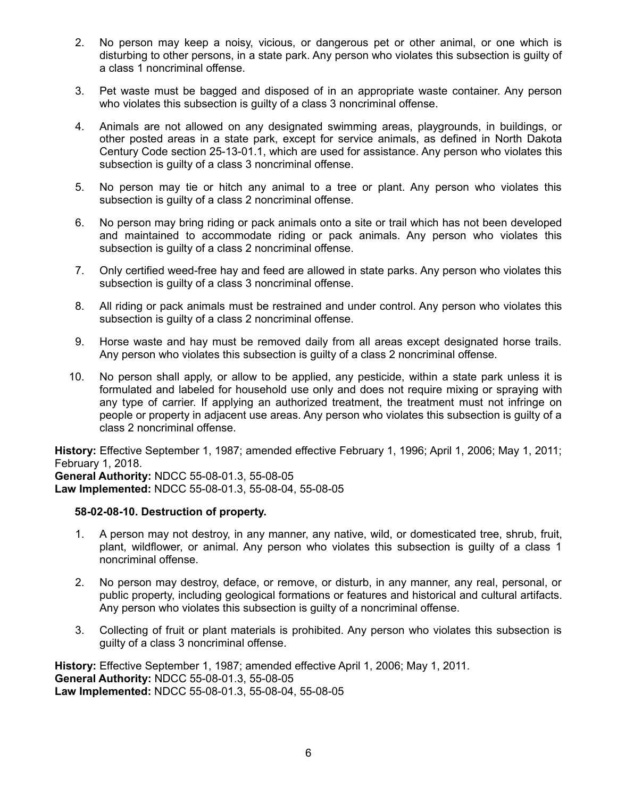- 2. No person may keep a noisy, vicious, or dangerous pet or other animal, or one which is disturbing to other persons, in a state park. Any person who violates this subsection is guilty of a class 1 noncriminal offense.
- 3. Pet waste must be bagged and disposed of in an appropriate waste container. Any person who violates this subsection is quilty of a class 3 noncriminal offense.
- 4. Animals are not allowed on any designated swimming areas, playgrounds, in buildings, or other posted areas in a state park, except for service animals, as defined in North Dakota Century Code section 25-13-01.1, which are used for assistance. Any person who violates this subsection is guilty of a class 3 noncriminal offense.
- 5. No person may tie or hitch any animal to a tree or plant. Any person who violates this subsection is guilty of a class 2 noncriminal offense.
- 6. No person may bring riding or pack animals onto a site or trail which has not been developed and maintained to accommodate riding or pack animals. Any person who violates this subsection is guilty of a class 2 noncriminal offense.
- 7. Only certified weed-free hay and feed are allowed in state parks. Any person who violates this subsection is quilty of a class 3 noncriminal offense.
- 8. All riding or pack animals must be restrained and under control. Any person who violates this subsection is guilty of a class 2 noncriminal offense.
- 9. Horse waste and hay must be removed daily from all areas except designated horse trails. Any person who violates this subsection is guilty of a class 2 noncriminal offense.
- 10. No person shall apply, or allow to be applied, any pesticide, within a state park unless it is formulated and labeled for household use only and does not require mixing or spraying with any type of carrier. If applying an authorized treatment, the treatment must not infringe on people or property in adjacent use areas. Any person who violates this subsection is guilty of a class 2 noncriminal offense.

**History:** Effective September 1, 1987; amended effective February 1, 1996; April 1, 2006; May 1, 2011; February 1, 2018.

**General Authority:** NDCC 55-08-01.3, 55-08-05 **Law Implemented:** NDCC 55-08-01.3, 55-08-04, 55-08-05

#### **58-02-08-10. Destruction of property.**

- 1. A person may not destroy, in any manner, any native, wild, or domesticated tree, shrub, fruit, plant, wildflower, or animal. Any person who violates this subsection is guilty of a class 1 noncriminal offense.
- 2. No person may destroy, deface, or remove, or disturb, in any manner, any real, personal, or public property, including geological formations or features and historical and cultural artifacts. Any person who violates this subsection is guilty of a noncriminal offense.
- 3. Collecting of fruit or plant materials is prohibited. Any person who violates this subsection is guilty of a class 3 noncriminal offense.

**History:** Effective September 1, 1987; amended effective April 1, 2006; May 1, 2011. **General Authority:** NDCC 55-08-01.3, 55-08-05 **Law Implemented:** NDCC 55-08-01.3, 55-08-04, 55-08-05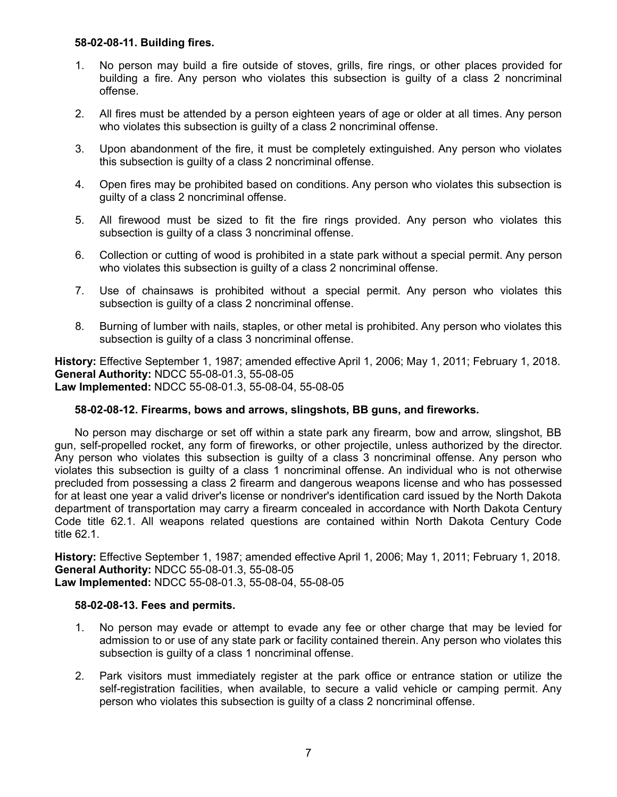### **58-02-08-11. Building fires.**

- 1. No person may build a fire outside of stoves, grills, fire rings, or other places provided for building a fire. Any person who violates this subsection is guilty of a class 2 noncriminal offense.
- 2. All fires must be attended by a person eighteen years of age or older at all times. Any person who violates this subsection is guilty of a class 2 noncriminal offense.
- 3. Upon abandonment of the fire, it must be completely extinguished. Any person who violates this subsection is guilty of a class 2 noncriminal offense.
- 4. Open fires may be prohibited based on conditions. Any person who violates this subsection is guilty of a class 2 noncriminal offense.
- 5. All firewood must be sized to fit the fire rings provided. Any person who violates this subsection is guilty of a class 3 noncriminal offense.
- 6. Collection or cutting of wood is prohibited in a state park without a special permit. Any person who violates this subsection is quilty of a class 2 noncriminal offense.
- 7. Use of chainsaws is prohibited without a special permit. Any person who violates this subsection is guilty of a class 2 noncriminal offense.
- 8. Burning of lumber with nails, staples, or other metal is prohibited. Any person who violates this subsection is guilty of a class 3 noncriminal offense.

**History:** Effective September 1, 1987; amended effective April 1, 2006; May 1, 2011; February 1, 2018. **General Authority:** NDCC 55-08-01.3, 55-08-05 **Law Implemented:** NDCC 55-08-01.3, 55-08-04, 55-08-05

## **58-02-08-12. Firearms, bows and arrows, slingshots, BB guns, and fireworks.**

No person may discharge or set off within a state park any firearm, bow and arrow, slingshot, BB gun, self-propelled rocket, any form of fireworks, or other projectile, unless authorized by the director. Any person who violates this subsection is guilty of a class 3 noncriminal offense. Any person who violates this subsection is guilty of a class 1 noncriminal offense. An individual who is not otherwise precluded from possessing a class 2 firearm and dangerous weapons license and who has possessed for at least one year a valid driver's license or nondriver's identification card issued by the North Dakota department of transportation may carry a firearm concealed in accordance with North Dakota Century Code title 62.1. All weapons related questions are contained within North Dakota Century Code title 62.1.

**History:** Effective September 1, 1987; amended effective April 1, 2006; May 1, 2011; February 1, 2018. **General Authority:** NDCC 55-08-01.3, 55-08-05 **Law Implemented:** NDCC 55-08-01.3, 55-08-04, 55-08-05

#### **58-02-08-13. Fees and permits.**

- 1. No person may evade or attempt to evade any fee or other charge that may be levied for admission to or use of any state park or facility contained therein. Any person who violates this subsection is guilty of a class 1 noncriminal offense.
- 2. Park visitors must immediately register at the park office or entrance station or utilize the self-registration facilities, when available, to secure a valid vehicle or camping permit. Any person who violates this subsection is guilty of a class 2 noncriminal offense.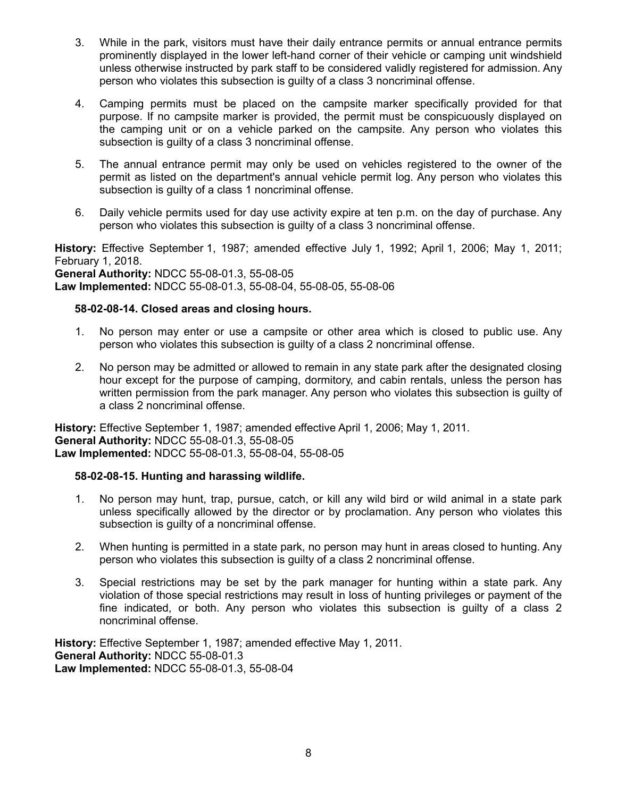- 3. While in the park, visitors must have their daily entrance permits or annual entrance permits prominently displayed in the lower left-hand corner of their vehicle or camping unit windshield unless otherwise instructed by park staff to be considered validly registered for admission. Any person who violates this subsection is guilty of a class 3 noncriminal offense.
- 4. Camping permits must be placed on the campsite marker specifically provided for that purpose. If no campsite marker is provided, the permit must be conspicuously displayed on the camping unit or on a vehicle parked on the campsite. Any person who violates this subsection is guilty of a class 3 noncriminal offense.
- 5. The annual entrance permit may only be used on vehicles registered to the owner of the permit as listed on the department's annual vehicle permit log. Any person who violates this subsection is guilty of a class 1 noncriminal offense.
- 6. Daily vehicle permits used for day use activity expire at ten p.m. on the day of purchase. Any person who violates this subsection is guilty of a class 3 noncriminal offense.

**History:** Effective September 1, 1987; amended effective July 1, 1992; April 1, 2006; May 1, 2011; February 1, 2018. **General Authority:** NDCC 55-08-01.3, 55-08-05 **Law Implemented:** NDCC 55-08-01.3, 55-08-04, 55-08-05, 55-08-06

### **58-02-08-14. Closed areas and closing hours.**

- 1. No person may enter or use a campsite or other area which is closed to public use. Any person who violates this subsection is guilty of a class 2 noncriminal offense.
- 2. No person may be admitted or allowed to remain in any state park after the designated closing hour except for the purpose of camping, dormitory, and cabin rentals, unless the person has written permission from the park manager. Any person who violates this subsection is guilty of a class 2 noncriminal offense.

**History:** Effective September 1, 1987; amended effective April 1, 2006; May 1, 2011. **General Authority:** NDCC 55-08-01.3, 55-08-05 **Law Implemented:** NDCC 55-08-01.3, 55-08-04, 55-08-05

## **58-02-08-15. Hunting and harassing wildlife.**

- 1. No person may hunt, trap, pursue, catch, or kill any wild bird or wild animal in a state park unless specifically allowed by the director or by proclamation. Any person who violates this subsection is guilty of a noncriminal offense.
- 2. When hunting is permitted in a state park, no person may hunt in areas closed to hunting. Any person who violates this subsection is guilty of a class 2 noncriminal offense.
- 3. Special restrictions may be set by the park manager for hunting within a state park. Any violation of those special restrictions may result in loss of hunting privileges or payment of the fine indicated, or both. Any person who violates this subsection is guilty of a class 2 noncriminal offense.

**History:** Effective September 1, 1987; amended effective May 1, 2011. **General Authority:** NDCC 55-08-01.3 **Law Implemented:** NDCC 55-08-01.3, 55-08-04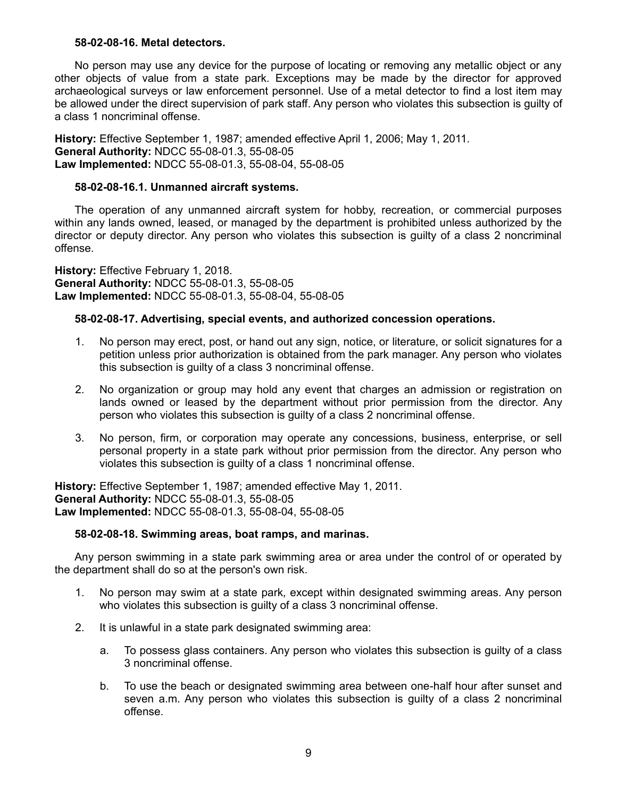#### **58-02-08-16. Metal detectors.**

No person may use any device for the purpose of locating or removing any metallic object or any other objects of value from a state park. Exceptions may be made by the director for approved archaeological surveys or law enforcement personnel. Use of a metal detector to find a lost item may be allowed under the direct supervision of park staff. Any person who violates this subsection is guilty of a class 1 noncriminal offense.

**History:** Effective September 1, 1987; amended effective April 1, 2006; May 1, 2011. **General Authority:** NDCC 55-08-01.3, 55-08-05 **Law Implemented:** NDCC 55-08-01.3, 55-08-04, 55-08-05

#### **58-02-08-16.1. Unmanned aircraft systems.**

The operation of any unmanned aircraft system for hobby, recreation, or commercial purposes within any lands owned, leased, or managed by the department is prohibited unless authorized by the director or deputy director. Any person who violates this subsection is guilty of a class 2 noncriminal offense.

**History:** Effective February 1, 2018. **General Authority:** NDCC 55-08-01.3, 55-08-05 **Law Implemented:** NDCC 55-08-01.3, 55-08-04, 55-08-05

#### **58-02-08-17. Advertising, special events, and authorized concession operations.**

- 1. No person may erect, post, or hand out any sign, notice, or literature, or solicit signatures for a petition unless prior authorization is obtained from the park manager. Any person who violates this subsection is guilty of a class 3 noncriminal offense.
- 2. No organization or group may hold any event that charges an admission or registration on lands owned or leased by the department without prior permission from the director. Any person who violates this subsection is guilty of a class 2 noncriminal offense.
- 3. No person, firm, or corporation may operate any concessions, business, enterprise, or sell personal property in a state park without prior permission from the director. Any person who violates this subsection is guilty of a class 1 noncriminal offense.

**History:** Effective September 1, 1987; amended effective May 1, 2011. **General Authority:** NDCC 55-08-01.3, 55-08-05 **Law Implemented:** NDCC 55-08-01.3, 55-08-04, 55-08-05

#### **58-02-08-18. Swimming areas, boat ramps, and marinas.**

Any person swimming in a state park swimming area or area under the control of or operated by the department shall do so at the person's own risk.

- 1. No person may swim at a state park, except within designated swimming areas. Any person who violates this subsection is guilty of a class 3 noncriminal offense.
- 2. It is unlawful in a state park designated swimming area:
	- a. To possess glass containers. Any person who violates this subsection is guilty of a class 3 noncriminal offense.
	- b. To use the beach or designated swimming area between one-half hour after sunset and seven a.m. Any person who violates this subsection is guilty of a class 2 noncriminal offense.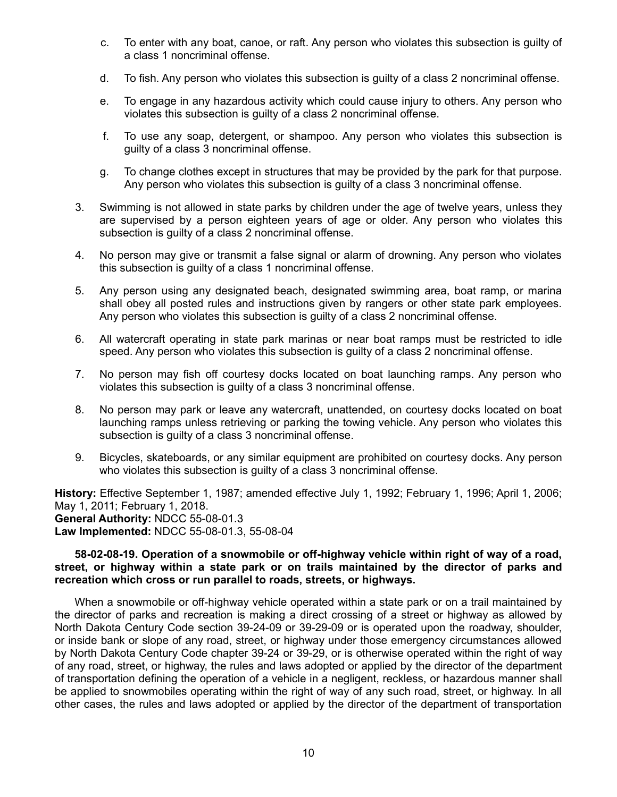- c. To enter with any boat, canoe, or raft. Any person who violates this subsection is guilty of a class 1 noncriminal offense.
- d. To fish. Any person who violates this subsection is guilty of a class 2 noncriminal offense.
- e. To engage in any hazardous activity which could cause injury to others. Any person who violates this subsection is guilty of a class 2 noncriminal offense.
- f. To use any soap, detergent, or shampoo. Any person who violates this subsection is guilty of a class 3 noncriminal offense.
- g. To change clothes except in structures that may be provided by the park for that purpose. Any person who violates this subsection is guilty of a class 3 noncriminal offense.
- 3. Swimming is not allowed in state parks by children under the age of twelve years, unless they are supervised by a person eighteen years of age or older. Any person who violates this subsection is guilty of a class 2 noncriminal offense.
- 4. No person may give or transmit a false signal or alarm of drowning. Any person who violates this subsection is guilty of a class 1 noncriminal offense.
- 5. Any person using any designated beach, designated swimming area, boat ramp, or marina shall obey all posted rules and instructions given by rangers or other state park employees. Any person who violates this subsection is guilty of a class 2 noncriminal offense.
- 6. All watercraft operating in state park marinas or near boat ramps must be restricted to idle speed. Any person who violates this subsection is guilty of a class 2 noncriminal offense.
- 7. No person may fish off courtesy docks located on boat launching ramps. Any person who violates this subsection is guilty of a class 3 noncriminal offense.
- 8. No person may park or leave any watercraft, unattended, on courtesy docks located on boat launching ramps unless retrieving or parking the towing vehicle. Any person who violates this subsection is guilty of a class 3 noncriminal offense.
- 9. Bicycles, skateboards, or any similar equipment are prohibited on courtesy docks. Any person who violates this subsection is guilty of a class 3 noncriminal offense.

**History:** Effective September 1, 1987; amended effective July 1, 1992; February 1, 1996; April 1, 2006; May 1, 2011; February 1, 2018. **General Authority:** NDCC 55-08-01.3 **Law Implemented:** NDCC 55-08-01.3, 55-08-04

#### **58-02-08-19. Operation of a snowmobile or off-highway vehicle within right of way of a road, street, or highway within a state park or on trails maintained by the director of parks and recreation which cross or run parallel to roads, streets, or highways.**

When a snowmobile or off-highway vehicle operated within a state park or on a trail maintained by the director of parks and recreation is making a direct crossing of a street or highway as allowed by North Dakota Century Code section 39-24-09 or 39-29-09 or is operated upon the roadway, shoulder, or inside bank or slope of any road, street, or highway under those emergency circumstances allowed by North Dakota Century Code chapter 39-24 or 39-29, or is otherwise operated within the right of way of any road, street, or highway, the rules and laws adopted or applied by the director of the department of transportation defining the operation of a vehicle in a negligent, reckless, or hazardous manner shall be applied to snowmobiles operating within the right of way of any such road, street, or highway. In all other cases, the rules and laws adopted or applied by the director of the department of transportation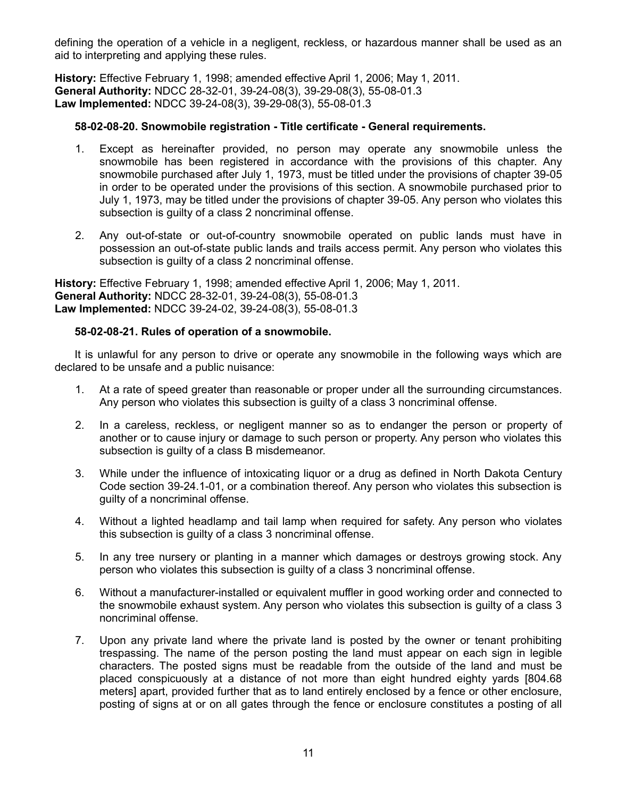defining the operation of a vehicle in a negligent, reckless, or hazardous manner shall be used as an aid to interpreting and applying these rules.

**History:** Effective February 1, 1998; amended effective April 1, 2006; May 1, 2011. **General Authority:** NDCC 28-32-01, 39-24-08(3), 39-29-08(3), 55-08-01.3 **Law Implemented:** NDCC 39-24-08(3), 39-29-08(3), 55-08-01.3

## **58-02-08-20. Snowmobile registration - Title certificate - General requirements.**

- 1. Except as hereinafter provided, no person may operate any snowmobile unless the snowmobile has been registered in accordance with the provisions of this chapter. Any snowmobile purchased after July 1, 1973, must be titled under the provisions of chapter 39-05 in order to be operated under the provisions of this section. A snowmobile purchased prior to July 1, 1973, may be titled under the provisions of chapter 39-05. Any person who violates this subsection is guilty of a class 2 noncriminal offense.
- 2. Any out-of-state or out-of-country snowmobile operated on public lands must have in possession an out-of-state public lands and trails access permit. Any person who violates this subsection is guilty of a class 2 noncriminal offense.

**History:** Effective February 1, 1998; amended effective April 1, 2006; May 1, 2011. **General Authority:** NDCC 28-32-01, 39-24-08(3), 55-08-01.3 **Law Implemented:** NDCC 39-24-02, 39-24-08(3), 55-08-01.3

## **58-02-08-21. Rules of operation of a snowmobile.**

It is unlawful for any person to drive or operate any snowmobile in the following ways which are declared to be unsafe and a public nuisance:

- 1. At a rate of speed greater than reasonable or proper under all the surrounding circumstances. Any person who violates this subsection is guilty of a class 3 noncriminal offense.
- 2. In a careless, reckless, or negligent manner so as to endanger the person or property of another or to cause injury or damage to such person or property. Any person who violates this subsection is guilty of a class B misdemeanor.
- 3. While under the influence of intoxicating liquor or a drug as defined in North Dakota Century Code section 39-24.1-01, or a combination thereof. Any person who violates this subsection is guilty of a noncriminal offense.
- 4. Without a lighted headlamp and tail lamp when required for safety. Any person who violates this subsection is guilty of a class 3 noncriminal offense.
- 5. In any tree nursery or planting in a manner which damages or destroys growing stock. Any person who violates this subsection is guilty of a class 3 noncriminal offense.
- 6. Without a manufacturer-installed or equivalent muffler in good working order and connected to the snowmobile exhaust system. Any person who violates this subsection is guilty of a class 3 noncriminal offense.
- 7. Upon any private land where the private land is posted by the owner or tenant prohibiting trespassing. The name of the person posting the land must appear on each sign in legible characters. The posted signs must be readable from the outside of the land and must be placed conspicuously at a distance of not more than eight hundred eighty yards [804.68 meters] apart, provided further that as to land entirely enclosed by a fence or other enclosure, posting of signs at or on all gates through the fence or enclosure constitutes a posting of all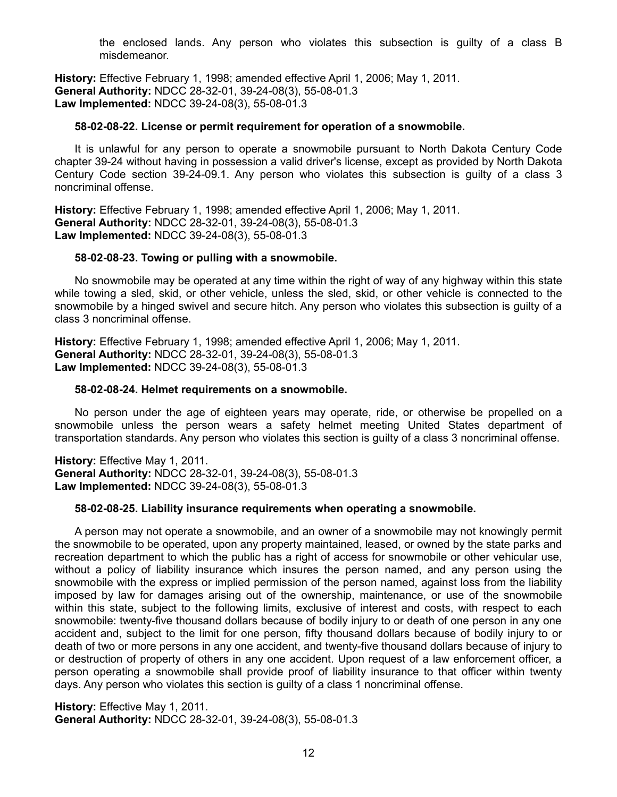the enclosed lands. Any person who violates this subsection is guilty of a class B misdemeanor.

**History:** Effective February 1, 1998; amended effective April 1, 2006; May 1, 2011. **General Authority:** NDCC 28-32-01, 39-24-08(3), 55-08-01.3 **Law Implemented:** NDCC 39-24-08(3), 55-08-01.3

#### **58-02-08-22. License or permit requirement for operation of a snowmobile.**

It is unlawful for any person to operate a snowmobile pursuant to North Dakota Century Code chapter 39-24 without having in possession a valid driver's license, except as provided by North Dakota Century Code section 39-24-09.1. Any person who violates this subsection is guilty of a class 3 noncriminal offense.

**History:** Effective February 1, 1998; amended effective April 1, 2006; May 1, 2011. **General Authority:** NDCC 28-32-01, 39-24-08(3), 55-08-01.3 **Law Implemented:** NDCC 39-24-08(3), 55-08-01.3

#### **58-02-08-23. Towing or pulling with a snowmobile.**

No snowmobile may be operated at any time within the right of way of any highway within this state while towing a sled, skid, or other vehicle, unless the sled, skid, or other vehicle is connected to the snowmobile by a hinged swivel and secure hitch. Any person who violates this subsection is guilty of a class 3 noncriminal offense.

**History:** Effective February 1, 1998; amended effective April 1, 2006; May 1, 2011. **General Authority:** NDCC 28-32-01, 39-24-08(3), 55-08-01.3 **Law Implemented:** NDCC 39-24-08(3), 55-08-01.3

#### **58-02-08-24. Helmet requirements on a snowmobile.**

No person under the age of eighteen years may operate, ride, or otherwise be propelled on a snowmobile unless the person wears a safety helmet meeting United States department of transportation standards. Any person who violates this section is guilty of a class 3 noncriminal offense.

**History:** Effective May 1, 2011. **General Authority:** NDCC 28-32-01, 39-24-08(3), 55-08-01.3 **Law Implemented:** NDCC 39-24-08(3), 55-08-01.3

#### **58-02-08-25. Liability insurance requirements when operating a snowmobile.**

A person may not operate a snowmobile, and an owner of a snowmobile may not knowingly permit the snowmobile to be operated, upon any property maintained, leased, or owned by the state parks and recreation department to which the public has a right of access for snowmobile or other vehicular use, without a policy of liability insurance which insures the person named, and any person using the snowmobile with the express or implied permission of the person named, against loss from the liability imposed by law for damages arising out of the ownership, maintenance, or use of the snowmobile within this state, subject to the following limits, exclusive of interest and costs, with respect to each snowmobile: twenty-five thousand dollars because of bodily injury to or death of one person in any one accident and, subject to the limit for one person, fifty thousand dollars because of bodily injury to or death of two or more persons in any one accident, and twenty-five thousand dollars because of injury to or destruction of property of others in any one accident. Upon request of a law enforcement officer, a person operating a snowmobile shall provide proof of liability insurance to that officer within twenty days. Any person who violates this section is guilty of a class 1 noncriminal offense.

**History:** Effective May 1, 2011. **General Authority:** NDCC 28-32-01, 39-24-08(3), 55-08-01.3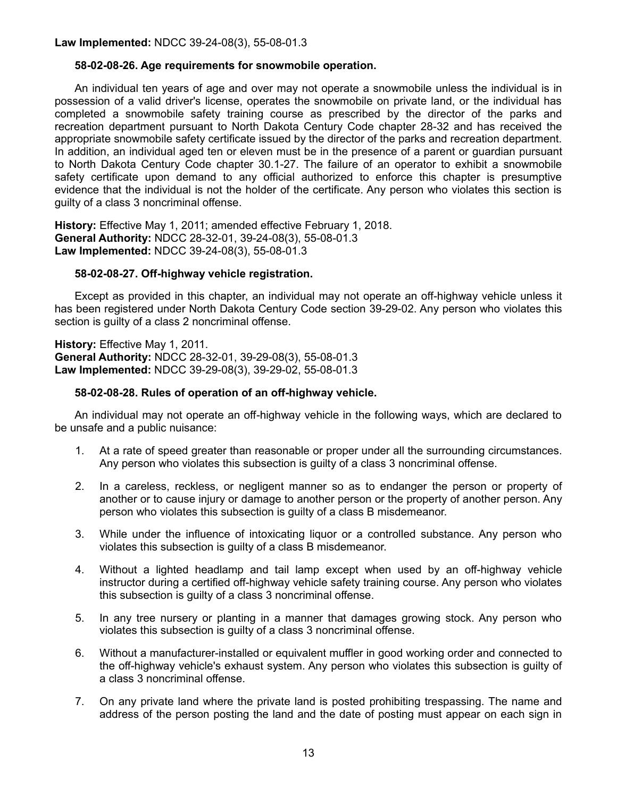**Law Implemented:** NDCC 39-24-08(3), 55-08-01.3

### **58-02-08-26. Age requirements for snowmobile operation.**

An individual ten years of age and over may not operate a snowmobile unless the individual is in possession of a valid driver's license, operates the snowmobile on private land, or the individual has completed a snowmobile safety training course as prescribed by the director of the parks and recreation department pursuant to North Dakota Century Code chapter 28-32 and has received the appropriate snowmobile safety certificate issued by the director of the parks and recreation department. In addition, an individual aged ten or eleven must be in the presence of a parent or guardian pursuant to North Dakota Century Code chapter 30.1-27. The failure of an operator to exhibit a snowmobile safety certificate upon demand to any official authorized to enforce this chapter is presumptive evidence that the individual is not the holder of the certificate. Any person who violates this section is guilty of a class 3 noncriminal offense.

**History:** Effective May 1, 2011; amended effective February 1, 2018. **General Authority:** NDCC 28-32-01, 39-24-08(3), 55-08-01.3 **Law Implemented:** NDCC 39-24-08(3), 55-08-01.3

### **58-02-08-27. Off-highway vehicle registration.**

Except as provided in this chapter, an individual may not operate an off-highway vehicle unless it has been registered under North Dakota Century Code section 39-29-02. Any person who violates this section is guilty of a class 2 noncriminal offense.

**History:** Effective May 1, 2011. **General Authority:** NDCC 28-32-01, 39-29-08(3), 55-08-01.3 **Law Implemented:** NDCC 39-29-08(3), 39-29-02, 55-08-01.3

### **58-02-08-28. Rules of operation of an off-highway vehicle.**

An individual may not operate an off-highway vehicle in the following ways, which are declared to be unsafe and a public nuisance:

- 1. At a rate of speed greater than reasonable or proper under all the surrounding circumstances. Any person who violates this subsection is guilty of a class 3 noncriminal offense.
- 2. In a careless, reckless, or negligent manner so as to endanger the person or property of another or to cause injury or damage to another person or the property of another person. Any person who violates this subsection is guilty of a class B misdemeanor.
- 3. While under the influence of intoxicating liquor or a controlled substance. Any person who violates this subsection is guilty of a class B misdemeanor.
- 4. Without a lighted headlamp and tail lamp except when used by an off-highway vehicle instructor during a certified off-highway vehicle safety training course. Any person who violates this subsection is guilty of a class 3 noncriminal offense.
- 5. In any tree nursery or planting in a manner that damages growing stock. Any person who violates this subsection is guilty of a class 3 noncriminal offense.
- 6. Without a manufacturer-installed or equivalent muffler in good working order and connected to the off-highway vehicle's exhaust system. Any person who violates this subsection is guilty of a class 3 noncriminal offense.
- 7. On any private land where the private land is posted prohibiting trespassing. The name and address of the person posting the land and the date of posting must appear on each sign in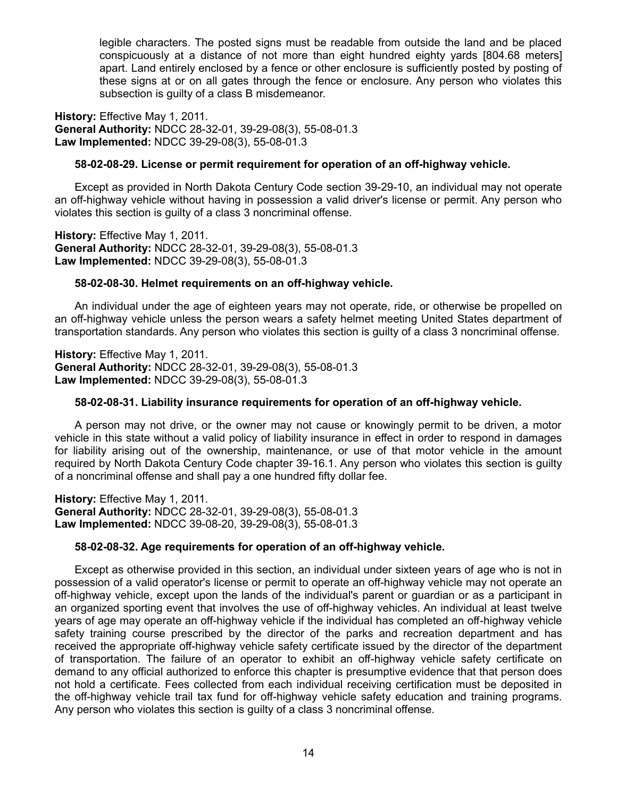legible characters. The posted signs must be readable from outside the land and be placed conspicuously at a distance of not more than eight hundred eighty yards [804.68 meters] apart. Land entirely enclosed by a fence or other enclosure is sufficiently posted by posting of these signs at or on all gates through the fence or enclosure. Any person who violates this subsection is guilty of a class B misdemeanor.

**History:** Effective May 1, 2011. **General Authority:** NDCC 28-32-01, 39-29-08(3), 55-08-01.3 **Law Implemented:** NDCC 39-29-08(3), 55-08-01.3

### **58-02-08-29. License or permit requirement for operation of an off-highway vehicle.**

Except as provided in North Dakota Century Code section 39-29-10, an individual may not operate an off-highway vehicle without having in possession a valid driver's license or permit. Any person who violates this section is guilty of a class 3 noncriminal offense.

**History:** Effective May 1, 2011. **General Authority:** NDCC 28-32-01, 39-29-08(3), 55-08-01.3 **Law Implemented:** NDCC 39-29-08(3), 55-08-01.3

#### **58-02-08-30. Helmet requirements on an off-highway vehicle.**

An individual under the age of eighteen years may not operate, ride, or otherwise be propelled on an off-highway vehicle unless the person wears a safety helmet meeting United States department of transportation standards. Any person who violates this section is guilty of a class 3 noncriminal offense.

**History:** Effective May 1, 2011. **General Authority:** NDCC 28-32-01, 39-29-08(3), 55-08-01.3 **Law Implemented:** NDCC 39-29-08(3), 55-08-01.3

#### **58-02-08-31. Liability insurance requirements for operation of an off-highway vehicle.**

A person may not drive, or the owner may not cause or knowingly permit to be driven, a motor vehicle in this state without a valid policy of liability insurance in effect in order to respond in damages for liability arising out of the ownership, maintenance, or use of that motor vehicle in the amount required by North Dakota Century Code chapter 39-16.1. Any person who violates this section is guilty of a noncriminal offense and shall pay a one hundred fifty dollar fee.

**History:** Effective May 1, 2011. **General Authority:** NDCC 28-32-01, 39-29-08(3), 55-08-01.3 **Law Implemented:** NDCC 39-08-20, 39-29-08(3), 55-08-01.3

## **58-02-08-32. Age requirements for operation of an off-highway vehicle.**

Except as otherwise provided in this section, an individual under sixteen years of age who is not in possession of a valid operator's license or permit to operate an off-highway vehicle may not operate an off-highway vehicle, except upon the lands of the individual's parent or guardian or as a participant in an organized sporting event that involves the use of off-highway vehicles. An individual at least twelve years of age may operate an off-highway vehicle if the individual has completed an off-highway vehicle safety training course prescribed by the director of the parks and recreation department and has received the appropriate off-highway vehicle safety certificate issued by the director of the department of transportation. The failure of an operator to exhibit an off-highway vehicle safety certificate on demand to any official authorized to enforce this chapter is presumptive evidence that that person does not hold a certificate. Fees collected from each individual receiving certification must be deposited in the off-highway vehicle trail tax fund for off-highway vehicle safety education and training programs. Any person who violates this section is guilty of a class 3 noncriminal offense.